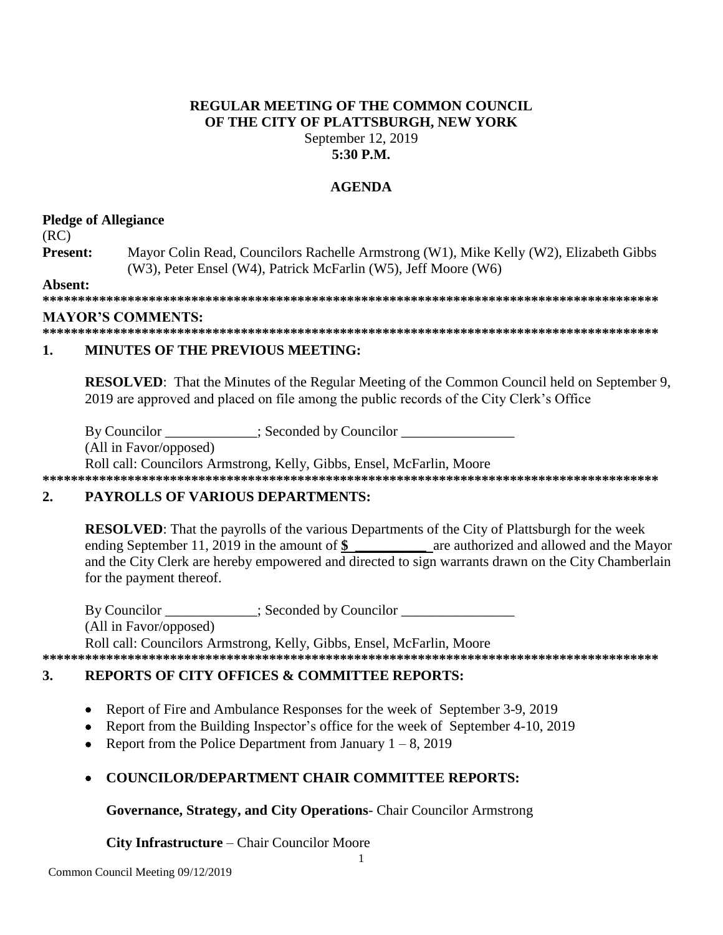# **REGULAR MEETING OF THE COMMON COUNCIL** OF THE CITY OF PLATTSBURGH, NEW YORK September 12, 2019 5:30 P.M.

# **AGENDA**

# **Pledge of Allegiance**

 $(RC)$ 

Present: Mayor Colin Read, Councilors Rachelle Armstrong (W1), Mike Kelly (W2), Elizabeth Gibbs (W3), Peter Ensel (W4), Patrick McFarlin (W5), Jeff Moore (W6)

Absent:

# **MAYOR'S COMMENTS:**

### $\mathbf{1}$ **MINUTES OF THE PREVIOUS MEETING:**

**RESOLVED:** That the Minutes of the Regular Meeting of the Common Council held on September 9, 2019 are approved and placed on file among the public records of the City Clerk's Office

By Councilor \_\_\_\_\_\_\_\_\_\_\_; Seconded by Councilor \_\_\_\_\_\_

(All in Favor/opposed)

Roll call: Councilors Armstrong, Kelly, Gibbs, Ensel, McFarlin, Moore 

## $2.$ **PAYROLLS OF VARIOUS DEPARTMENTS:**

**RESOLVED:** That the payrolls of the various Departments of the City of Plattsburgh for the week ending September 11, 2019 in the amount of \$ are authorized and allowed and the Mayor and the City Clerk are hereby empowered and directed to sign warrants drawn on the City Chamberlain for the payment thereof.

By Councilor : Seconded by Councilor (All in Favor/opposed) Roll call: Councilors Armstrong, Kelly, Gibbs, Ensel, McFarlin, Moore 

# $\mathbf{3}$ . **REPORTS OF CITY OFFICES & COMMITTEE REPORTS:**

- Report of Fire and Ambulance Responses for the week of September 3-9, 2019  $\bullet$
- Report from the Building Inspector's office for the week of September 4-10, 2019  $\bullet$
- Report from the Police Department from January  $1 8$ , 2019  $\bullet$
- **COUNCILOR/DEPARTMENT CHAIR COMMITTEE REPORTS:**

Governance, Strategy, and City Operations- Chair Councilor Armstrong

City Infrastructure - Chair Councilor Moore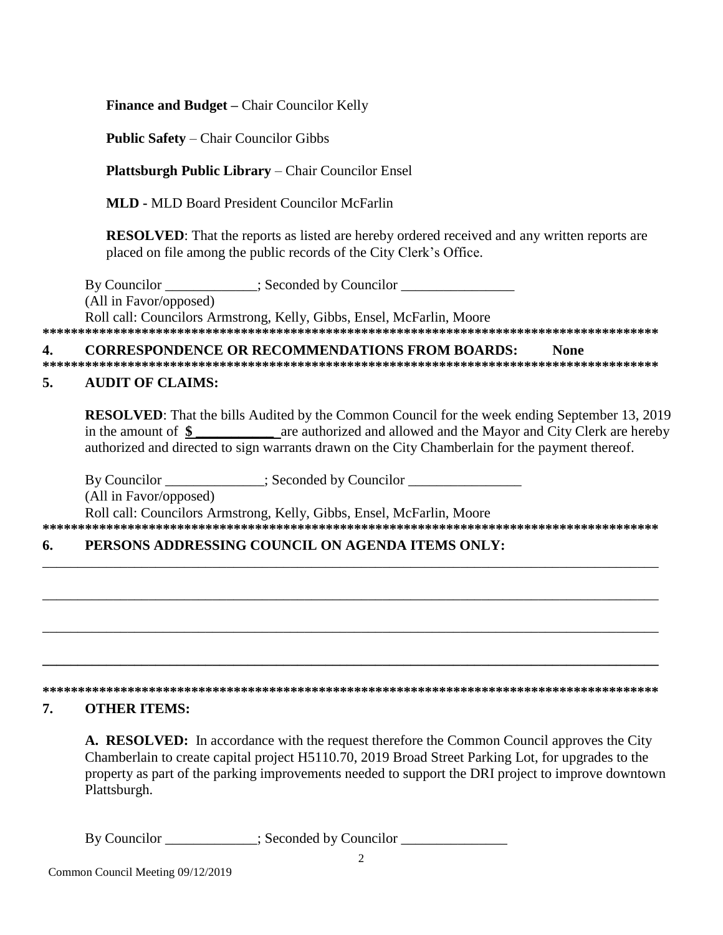**Finance and Budget – Chair Councilor Kelly** 

**Public Safety – Chair Councilor Gibbs** 

**Plattsburgh Public Library – Chair Councilor Ensel** 

**MLD** - MLD Board President Councilor McFarlin

**RESOLVED:** That the reports as listed are hereby ordered received and any written reports are placed on file among the public records of the City Clerk's Office.

By Councilor \_\_\_\_\_\_\_\_\_\_\_\_; Seconded by Councilor \_\_\_\_\_\_\_\_\_\_\_\_\_\_\_\_\_\_\_\_\_\_\_\_\_\_\_\_\_\_\_ (All in Favor/opposed) Roll call: Councilors Armstrong, Kelly, Gibbs, Ensel, McFarlin, Moore

#### $\overline{\mathbf{4}}$ . **CORRESPONDENCE OR RECOMMENDATIONS FROM BOARDS: None**

## **AUDIT OF CLAIMS:** 5.

**RESOLVED:** That the bills Audited by the Common Council for the week ending September 13, 2019 in the amount of  $\frac{1}{2}$  are authorized and allowed and the Mayor and City Clerk are hereby authorized and directed to sign warrants drawn on the City Chamberlain for the payment thereof.

By Councilor \_\_\_\_\_\_\_\_\_\_\_; Seconded by Councilor \_\_\_\_\_\_\_\_\_\_\_\_\_\_\_\_\_\_\_\_\_\_\_\_\_\_\_\_\_\_\_\_ (All in Favor/opposed) Roll call: Councilors Armstrong, Kelly, Gibbs, Ensel, McFarlin, Moore 

## PERSONS ADDRESSING COUNCIL ON AGENDA ITEMS ONLY: 6.

# 

## 7. **OTHER ITEMS:**

A. RESOLVED: In accordance with the request therefore the Common Council approves the City Chamberlain to create capital project H5110.70, 2019 Broad Street Parking Lot, for upgrades to the property as part of the parking improvements needed to support the DRI project to improve downtown Plattsburgh.

By Councilor \_\_\_\_\_\_\_\_\_\_\_\_\_; Seconded by Councilor \_\_\_\_\_\_\_\_\_\_\_\_\_\_\_\_\_\_\_\_\_\_\_\_\_\_\_\_\_\_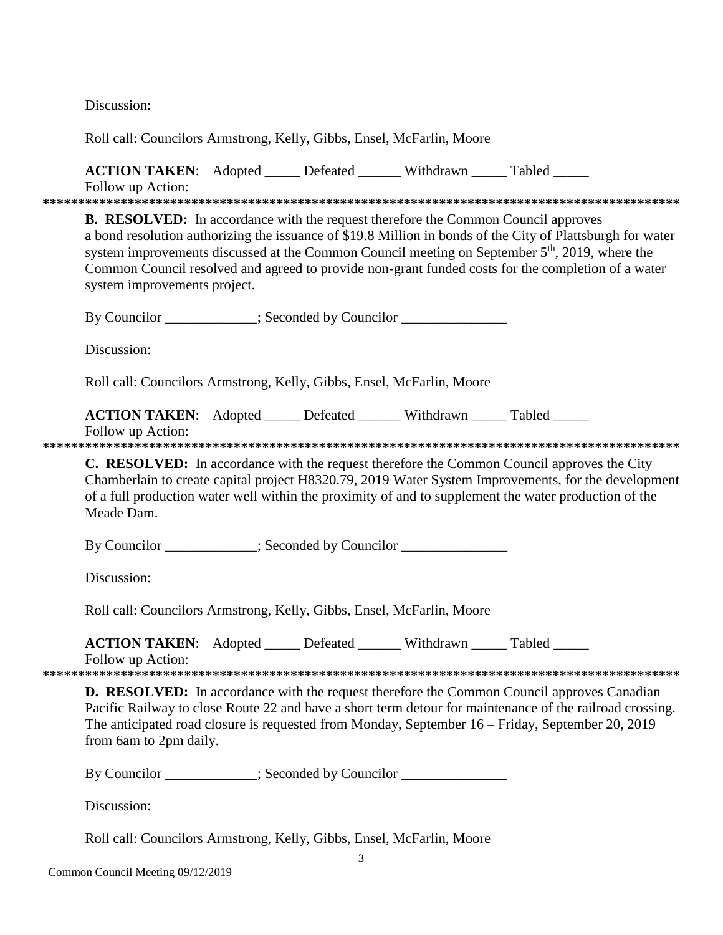Discussion:

Doll cell: Councilors Armstrong Kolly Cibbs Ensel McCerlin Moore

| ROIL Call. Counchors Armistrong, Neny, Groos, Ensel, McParini, Moore                                                                                                                                                                                                                                                                                                                                                                                       |  |  |  |                                                                                                                                                                                                                                                                                                                   |  |  |  |
|------------------------------------------------------------------------------------------------------------------------------------------------------------------------------------------------------------------------------------------------------------------------------------------------------------------------------------------------------------------------------------------------------------------------------------------------------------|--|--|--|-------------------------------------------------------------------------------------------------------------------------------------------------------------------------------------------------------------------------------------------------------------------------------------------------------------------|--|--|--|
| ACTION TAKEN: Adopted _____ Defeated ______ Withdrawn _____ Tabled _____<br>Follow up Action:                                                                                                                                                                                                                                                                                                                                                              |  |  |  |                                                                                                                                                                                                                                                                                                                   |  |  |  |
|                                                                                                                                                                                                                                                                                                                                                                                                                                                            |  |  |  |                                                                                                                                                                                                                                                                                                                   |  |  |  |
| <b>B. RESOLVED:</b> In accordance with the request therefore the Common Council approves<br>a bond resolution authorizing the issuance of \$19.8 Million in bonds of the City of Plattsburgh for water<br>system improvements discussed at the Common Council meeting on September 5 <sup>th</sup> , 2019, where the<br>Common Council resolved and agreed to provide non-grant funded costs for the completion of a water<br>system improvements project. |  |  |  |                                                                                                                                                                                                                                                                                                                   |  |  |  |
| By Councilor ___________; Seconded by Councilor ________________________________                                                                                                                                                                                                                                                                                                                                                                           |  |  |  |                                                                                                                                                                                                                                                                                                                   |  |  |  |
| Discussion:                                                                                                                                                                                                                                                                                                                                                                                                                                                |  |  |  |                                                                                                                                                                                                                                                                                                                   |  |  |  |
| Roll call: Councilors Armstrong, Kelly, Gibbs, Ensel, McFarlin, Moore                                                                                                                                                                                                                                                                                                                                                                                      |  |  |  |                                                                                                                                                                                                                                                                                                                   |  |  |  |
| <b>ACTION TAKEN:</b> Adopted _____ Defeated ______ Withdrawn _____ Tabled _____<br>Follow up Action:                                                                                                                                                                                                                                                                                                                                                       |  |  |  |                                                                                                                                                                                                                                                                                                                   |  |  |  |
| Meade Dam.                                                                                                                                                                                                                                                                                                                                                                                                                                                 |  |  |  | C. RESOLVED: In accordance with the request therefore the Common Council approves the City<br>Chamberlain to create capital project H8320.79, 2019 Water System Improvements, for the development<br>of a full production water well within the proximity of and to supplement the water production of the        |  |  |  |
| By Councilor __________; Seconded by Councilor ______________                                                                                                                                                                                                                                                                                                                                                                                              |  |  |  |                                                                                                                                                                                                                                                                                                                   |  |  |  |
| Discussion:                                                                                                                                                                                                                                                                                                                                                                                                                                                |  |  |  |                                                                                                                                                                                                                                                                                                                   |  |  |  |
| Roll call: Councilors Armstrong, Kelly, Gibbs, Ensel, McFarlin, Moore                                                                                                                                                                                                                                                                                                                                                                                      |  |  |  |                                                                                                                                                                                                                                                                                                                   |  |  |  |
| <b>ACTION TAKEN:</b> Adopted _____ Defeated ______ Withdrawn _____ Tabled _____<br>Follow up Action:                                                                                                                                                                                                                                                                                                                                                       |  |  |  |                                                                                                                                                                                                                                                                                                                   |  |  |  |
| from 6am to 2pm daily.                                                                                                                                                                                                                                                                                                                                                                                                                                     |  |  |  | <b>D. RESOLVED:</b> In accordance with the request therefore the Common Council approves Canadian<br>Pacific Railway to close Route 22 and have a short term detour for maintenance of the railroad crossing.<br>The anticipated road closure is requested from Monday, September 16 - Friday, September 20, 2019 |  |  |  |
| By Councilor __________; Seconded by Councilor ______________                                                                                                                                                                                                                                                                                                                                                                                              |  |  |  |                                                                                                                                                                                                                                                                                                                   |  |  |  |
| Discussion:                                                                                                                                                                                                                                                                                                                                                                                                                                                |  |  |  |                                                                                                                                                                                                                                                                                                                   |  |  |  |

Roll call: Councilors Armstrong, Kelly, Gibbs, Ensel, McFarlin, Moore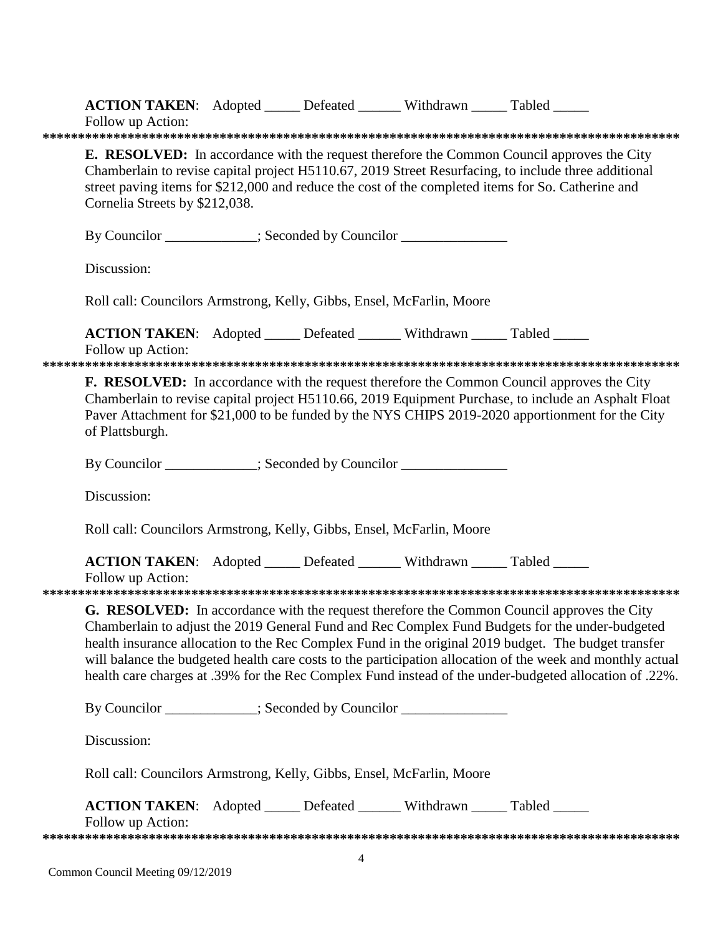| Follow up Action:                                                                                                                                                                                                                                                                                                                                                                                                                                                                                                             |                                                                                                                                                                                                                                                                                                                                                   |  |  | ACTION TAKEN: Adopted _____ Defeated ______ Withdrawn _____ Tabled _____ |  |  |  |
|-------------------------------------------------------------------------------------------------------------------------------------------------------------------------------------------------------------------------------------------------------------------------------------------------------------------------------------------------------------------------------------------------------------------------------------------------------------------------------------------------------------------------------|---------------------------------------------------------------------------------------------------------------------------------------------------------------------------------------------------------------------------------------------------------------------------------------------------------------------------------------------------|--|--|--------------------------------------------------------------------------|--|--|--|
|                                                                                                                                                                                                                                                                                                                                                                                                                                                                                                                               | <b>E. RESOLVED:</b> In accordance with the request therefore the Common Council approves the City<br>Chamberlain to revise capital project H5110.67, 2019 Street Resurfacing, to include three additional<br>street paving items for \$212,000 and reduce the cost of the completed items for So. Catherine and<br>Cornelia Streets by \$212,038. |  |  |                                                                          |  |  |  |
|                                                                                                                                                                                                                                                                                                                                                                                                                                                                                                                               |                                                                                                                                                                                                                                                                                                                                                   |  |  | By Councilor __________; Seconded by Councilor ______________            |  |  |  |
| Discussion:                                                                                                                                                                                                                                                                                                                                                                                                                                                                                                                   |                                                                                                                                                                                                                                                                                                                                                   |  |  |                                                                          |  |  |  |
|                                                                                                                                                                                                                                                                                                                                                                                                                                                                                                                               |                                                                                                                                                                                                                                                                                                                                                   |  |  | Roll call: Councilors Armstrong, Kelly, Gibbs, Ensel, McFarlin, Moore    |  |  |  |
| Follow up Action:                                                                                                                                                                                                                                                                                                                                                                                                                                                                                                             |                                                                                                                                                                                                                                                                                                                                                   |  |  | ACTION TAKEN: Adopted _____ Defeated ______ Withdrawn _____ Tabled _____ |  |  |  |
| <b>F. RESOLVED:</b> In accordance with the request therefore the Common Council approves the City<br>Chamberlain to revise capital project H5110.66, 2019 Equipment Purchase, to include an Asphalt Float<br>Paver Attachment for \$21,000 to be funded by the NYS CHIPS 2019-2020 apportionment for the City<br>of Plattsburgh.                                                                                                                                                                                              |                                                                                                                                                                                                                                                                                                                                                   |  |  |                                                                          |  |  |  |
|                                                                                                                                                                                                                                                                                                                                                                                                                                                                                                                               |                                                                                                                                                                                                                                                                                                                                                   |  |  | By Councilor ___________; Seconded by Councilor _______________          |  |  |  |
| Discussion:                                                                                                                                                                                                                                                                                                                                                                                                                                                                                                                   |                                                                                                                                                                                                                                                                                                                                                   |  |  |                                                                          |  |  |  |
|                                                                                                                                                                                                                                                                                                                                                                                                                                                                                                                               |                                                                                                                                                                                                                                                                                                                                                   |  |  | Roll call: Councilors Armstrong, Kelly, Gibbs, Ensel, McFarlin, Moore    |  |  |  |
| Follow up Action:                                                                                                                                                                                                                                                                                                                                                                                                                                                                                                             |                                                                                                                                                                                                                                                                                                                                                   |  |  | ACTION TAKEN: Adopted _____ Defeated ______ Withdrawn _____ Tabled _____ |  |  |  |
| G. RESOLVED: In accordance with the request therefore the Common Council approves the City<br>Chamberlain to adjust the 2019 General Fund and Rec Complex Fund Budgets for the under-budgeted<br>health insurance allocation to the Rec Complex Fund in the original 2019 budget. The budget transfer<br>will balance the budgeted health care costs to the participation allocation of the week and monthly actual<br>health care charges at .39% for the Rec Complex Fund instead of the under-budgeted allocation of .22%. |                                                                                                                                                                                                                                                                                                                                                   |  |  |                                                                          |  |  |  |
|                                                                                                                                                                                                                                                                                                                                                                                                                                                                                                                               |                                                                                                                                                                                                                                                                                                                                                   |  |  | By Councilor ___________; Seconded by Councilor ______________           |  |  |  |
| Discussion:                                                                                                                                                                                                                                                                                                                                                                                                                                                                                                                   |                                                                                                                                                                                                                                                                                                                                                   |  |  |                                                                          |  |  |  |
|                                                                                                                                                                                                                                                                                                                                                                                                                                                                                                                               | Roll call: Councilors Armstrong, Kelly, Gibbs, Ensel, McFarlin, Moore                                                                                                                                                                                                                                                                             |  |  |                                                                          |  |  |  |
| Follow up Action:                                                                                                                                                                                                                                                                                                                                                                                                                                                                                                             |                                                                                                                                                                                                                                                                                                                                                   |  |  | ACTION TAKEN: Adopted _____ Defeated ______ Withdrawn _____ Tabled _____ |  |  |  |